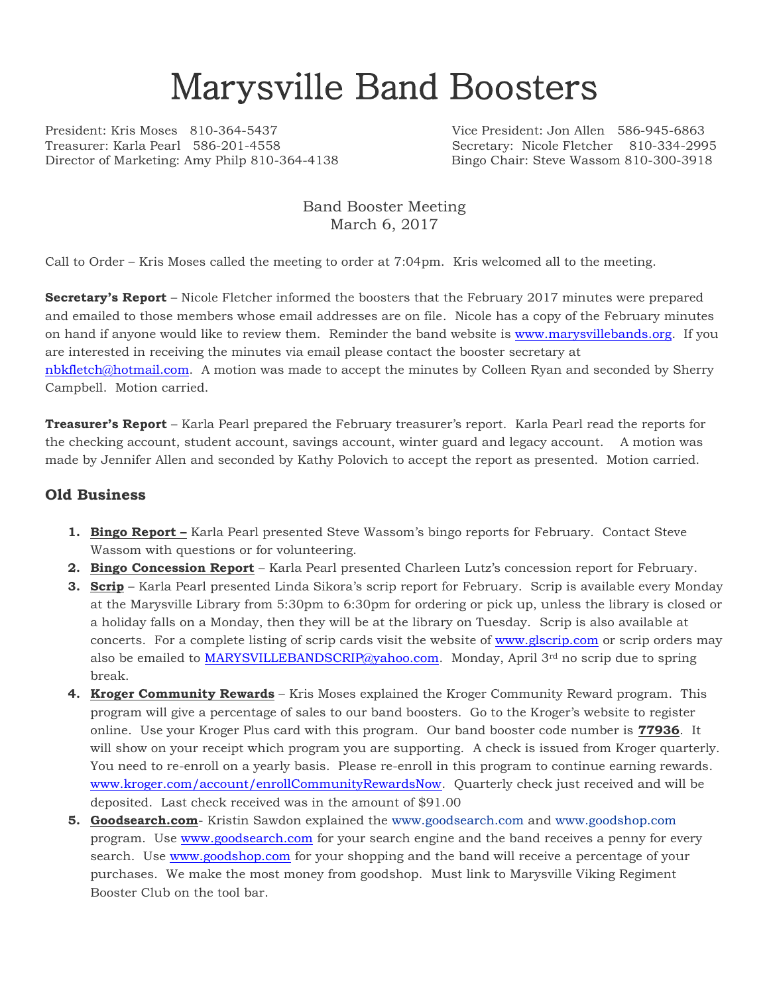## Marysville Band Boosters

President: Kris Moses 810-364-5437 Vice President: Jon Allen 586-945-6863 Director of Marketing: Amy Philp 810-364-4138 Bingo Chair: Steve Wassom 810-300-3918

Secretary: Nicole Fletcher 810-334-2995

Band Booster Meeting March 6, 2017

Call to Order – Kris Moses called the meeting to order at 7:04pm. Kris welcomed all to the meeting.

**Secretary's Report** – Nicole Fletcher informed the boosters that the February 2017 minutes were prepared and emailed to those members whose email addresses are on file. Nicole has a copy of the February minutes on hand if anyone would like to review them. Reminder the band website is [www.marysvillebands.org.](http://www.marysvillebands.org/) If you are interested in receiving the minutes via email please contact the booster secretary at

[nbkfletch@hotmail.com.](mailto:nbkfletch@hotmail.com) A motion was made to accept the minutes by Colleen Ryan and seconded by Sherry Campbell. Motion carried.

**Treasurer's Report** – Karla Pearl prepared the February treasurer's report. Karla Pearl read the reports for the checking account, student account, savings account, winter guard and legacy account. A motion was made by Jennifer Allen and seconded by Kathy Polovich to accept the report as presented. Motion carried.

## **Old Business**

- **1. Bingo Report –** Karla Pearl presented Steve Wassom's bingo reports for February. Contact Steve Wassom with questions or for volunteering.
- **2. Bingo Concession Report** Karla Pearl presented Charleen Lutz's concession report for February.
- **3. Scrip** Karla Pearl presented Linda Sikora's scrip report for February. Scrip is available every Monday at the Marysville Library from 5:30pm to 6:30pm for ordering or pick up, unless the library is closed or a holiday falls on a Monday, then they will be at the library on Tuesday. Scrip is also available at concerts. For a complete listing of scrip cards visit the website of [www.glscrip.com](http://www.glscrip.com/) or scrip orders may also be emailed to [MARYSVILLEBANDSCRIP@yahoo.com.](mailto:MARYSVILLEBANDSCRIP@yahoo.com) Monday, April 3rd no scrip due to spring break.
- **4. Kroger Community Rewards** Kris Moses explained the Kroger Community Reward program. This program will give a percentage of sales to our band boosters. Go to the Kroger's website to register online. Use your Kroger Plus card with this program. Our band booster code number is **77936**. It will show on your receipt which program you are supporting. A check is issued from Kroger quarterly. You need to re-enroll on a yearly basis. Please re-enroll in this program to continue earning rewards. [www.kroger.com/account/enrollCommunityRewardsNow.](http://www.kroger.com/account/enrollCommunityRewardsNow) Quarterly check just received and will be deposited. Last check received was in the amount of \$91.00
- **5. Goodsearch.com** Kristin Sawdon explained the [www.goodsearch.com](http://www.goodsearch.com/) and [www.goodshop.com](http://www.goodshop.com/) program. Use [www.goodsearch.com](http://www.goodsearch.com/) for your search engine and the band receives a penny for every search. Use [www.goodshop.com](http://www.goodshop.com/) for your shopping and the band will receive a percentage of your purchases. We make the most money from goodshop. Must link to Marysville Viking Regiment Booster Club on the tool bar.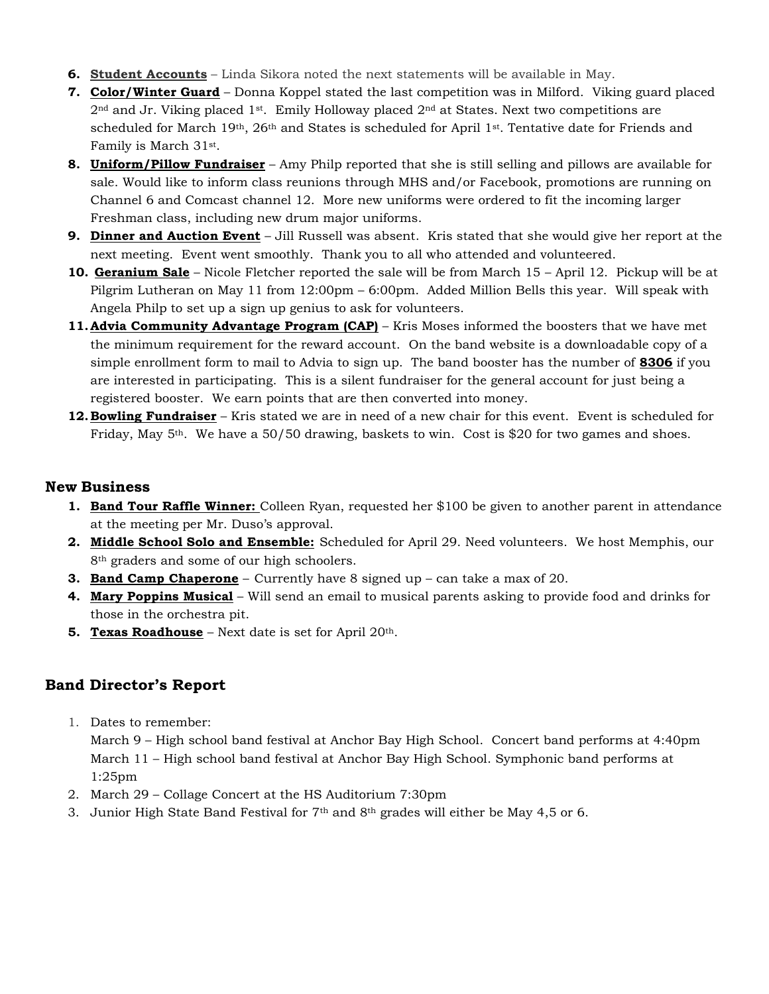- **6. Student Accounts** Linda Sikora noted the next statements will be available in May.
- **7. Color/Winter Guard** Donna Koppel stated the last competition was in Milford. Viking guard placed  $2<sup>nd</sup>$  and Jr. Viking placed  $1<sup>st</sup>$ . Emily Holloway placed  $2<sup>nd</sup>$  at States. Next two competitions are scheduled for March 19<sup>th</sup>, 26<sup>th</sup> and States is scheduled for April 1<sup>st</sup>. Tentative date for Friends and Family is March 31st .
- **8. Uniform/Pillow Fundraiser** Amy Philp reported that she is still selling and pillows are available for sale. Would like to inform class reunions through MHS and/or Facebook, promotions are running on Channel 6 and Comcast channel 12. More new uniforms were ordered to fit the incoming larger Freshman class, including new drum major uniforms.
- **9. Dinner and Auction Event** Jill Russell was absent. Kris stated that she would give her report at the next meeting. Event went smoothly. Thank you to all who attended and volunteered.
- **10. Geranium Sale** Nicole Fletcher reported the sale will be from March 15 April 12. Pickup will be at Pilgrim Lutheran on May 11 from 12:00pm – 6:00pm. Added Million Bells this year. Will speak with Angela Philp to set up a sign up genius to ask for volunteers.
- **11. Advia Community Advantage Program (CAP)** Kris Moses informed the boosters that we have met the minimum requirement for the reward account. On the band website is a downloadable copy of a simple enrollment form to mail to Advia to sign up. The band booster has the number of **8306** if you are interested in participating. This is a silent fundraiser for the general account for just being a registered booster. We earn points that are then converted into money.
- **12. Bowling Fundraiser** Kris stated we are in need of a new chair for this event. Event is scheduled for Friday, May  $5<sup>th</sup>$ . We have a 50/50 drawing, baskets to win. Cost is \$20 for two games and shoes.

## **New Business**

- **1. Band Tour Raffle Winner:** Colleen Ryan, requested her \$100 be given to another parent in attendance at the meeting per Mr. Duso's approval.
- **2. Middle School Solo and Ensemble:** Scheduled for April 29. Need volunteers. We host Memphis, our 8<sup>th</sup> graders and some of our high schoolers.
- **3. Band Camp Chaperone** Currently have 8 signed up can take a max of 20.
- **4. Mary Poppins Musical** Will send an email to musical parents asking to provide food and drinks for those in the orchestra pit.
- **5. Texas Roadhouse** Next date is set for April 20th.

## **Band Director's Report**

1. Dates to remember:

March 9 – High school band festival at Anchor Bay High School. Concert band performs at 4:40pm March 11 – High school band festival at Anchor Bay High School. Symphonic band performs at 1:25pm

- 2. March 29 Collage Concert at the HS Auditorium 7:30pm
- 3. Junior High State Band Festival for  $7<sup>th</sup>$  and  $8<sup>th</sup>$  grades will either be May 4,5 or 6.